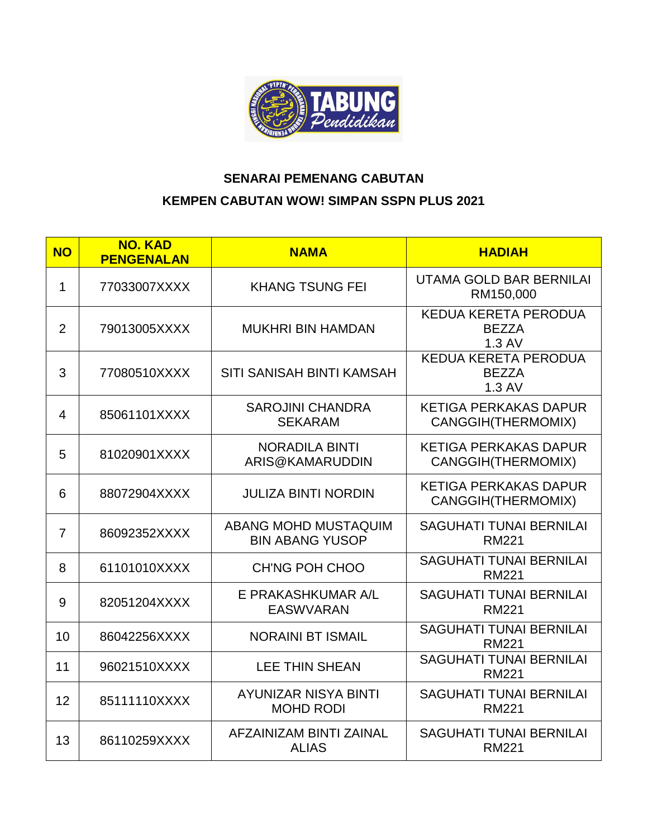

## **SENARAI PEMENANG CABUTAN KEMPEN CABUTAN WOW! SIMPAN SSPN PLUS 2021**

| <b>NO</b>      | <b>NO. KAD</b><br><b>PENGENALAN</b> | <b>NAMA</b>                                     | <b>HADIAH</b>                                             |
|----------------|-------------------------------------|-------------------------------------------------|-----------------------------------------------------------|
| $\mathbf 1$    | 77033007XXXX                        | <b>KHANG TSUNG FEI</b>                          | UTAMA GOLD BAR BERNILAI<br>RM150,000                      |
| $\overline{2}$ | 79013005XXXX                        | <b>MUKHRI BIN HAMDAN</b>                        | KEDUA KERETA PERODUA<br><b>BEZZA</b><br>1.3 AV            |
| 3              | 77080510XXXX                        | SITI SANISAH BINTI KAMSAH                       | KEDUA KERETA PERODUA<br><b>BEZZA</b><br>1.3 AV            |
| 4              | 85061101XXXX                        | <b>SAROJINI CHANDRA</b><br><b>SEKARAM</b>       | <b>KETIGA PERKAKAS DAPUR</b><br>CANGGIH(THERMOMIX)        |
| 5              | 81020901XXXX                        | <b>NORADILA BINTI</b><br>ARIS@KAMARUDDIN        | <b>KETIGA PERKAKAS DAPUR</b><br><b>CANGGIH(THERMOMIX)</b> |
| 6              | 88072904XXXX                        | <b>JULIZA BINTI NORDIN</b>                      | <b>KETIGA PERKAKAS DAPUR</b><br><b>CANGGIH(THERMOMIX)</b> |
| $\overline{7}$ | 86092352XXXX                        | ABANG MOHD MUSTAQUIM<br><b>BIN ABANG YUSOP</b>  | <b>SAGUHATI TUNAI BERNILAI</b><br><b>RM221</b>            |
| 8              | 61101010XXXX                        | CH'NG POH CHOO                                  | <b>SAGUHATI TUNAI BERNILAI</b><br><b>RM221</b>            |
| 9              | 82051204XXXX                        | E PRAKASHKUMAR A/L<br><b>EASWVARAN</b>          | <b>SAGUHATI TUNAI BERNILAI</b><br><b>RM221</b>            |
| 10             | 86042256XXXX                        | <b>NORAINI BT ISMAIL</b>                        | <b>SAGUHATI TUNAI BERNILAI</b><br><b>RM221</b>            |
| 11             | 96021510XXXX                        | <b>LEE THIN SHEAN</b>                           | <b>SAGUHATI TUNAI BERNILAI</b><br><b>RM221</b>            |
| 12             | 85111110XXXX                        | <b>AYUNIZAR NISYA BINTI</b><br><b>MOHD RODI</b> | <b>SAGUHATI TUNAI BERNILAI</b><br><b>RM221</b>            |
| 13             | 86110259XXXX                        | AFZAINIZAM BINTI ZAINAL<br><b>ALIAS</b>         | <b>SAGUHATI TUNAI BERNILAI</b><br><b>RM221</b>            |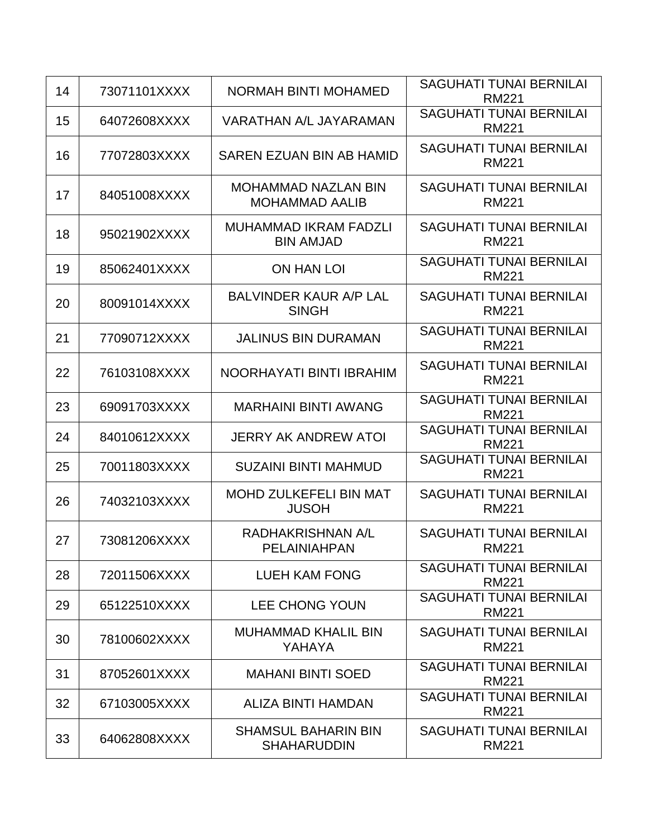| 14 | 73071101XXXX | <b>NORMAH BINTI MOHAMED</b>                         | <b>SAGUHATI TUNAI BERNILAI</b><br><b>RM221</b> |
|----|--------------|-----------------------------------------------------|------------------------------------------------|
| 15 | 64072608XXXX | VARATHAN A/L JAYARAMAN                              | <b>SAGUHATI TUNAI BERNILAI</b><br><b>RM221</b> |
| 16 | 77072803XXXX | SAREN EZUAN BIN AB HAMID                            | <b>SAGUHATI TUNAI BERNILAI</b><br><b>RM221</b> |
| 17 | 84051008XXXX | <b>MOHAMMAD NAZLAN BIN</b><br><b>MOHAMMAD AALIB</b> | <b>SAGUHATI TUNAI BERNILAI</b><br><b>RM221</b> |
| 18 | 95021902XXXX | <b>MUHAMMAD IKRAM FADZLI</b><br><b>BIN AMJAD</b>    | <b>SAGUHATI TUNAI BERNILAI</b><br><b>RM221</b> |
| 19 | 85062401XXXX | ON HAN LOI                                          | <b>SAGUHATI TUNAI BERNILAI</b><br><b>RM221</b> |
| 20 | 80091014XXXX | <b>BALVINDER KAUR A/P LAL</b><br><b>SINGH</b>       | <b>SAGUHATI TUNAI BERNILAI</b><br><b>RM221</b> |
| 21 | 77090712XXXX | <b>JALINUS BIN DURAMAN</b>                          | <b>SAGUHATI TUNAI BERNILAI</b><br><b>RM221</b> |
| 22 | 76103108XXXX | NOORHAYATI BINTI IBRAHIM                            | <b>SAGUHATI TUNAI BERNILAI</b><br><b>RM221</b> |
| 23 | 69091703XXXX | <b>MARHAINI BINTI AWANG</b>                         | <b>SAGUHATI TUNAI BERNILAI</b><br><b>RM221</b> |
| 24 | 84010612XXXX | <b>JERRY AK ANDREW ATOI</b>                         | <b>SAGUHATI TUNAI BERNILAI</b><br><b>RM221</b> |
| 25 | 70011803XXXX | <b>SUZAINI BINTI MAHMUD</b>                         | <b>SAGUHATI TUNAI BERNILAI</b><br><b>RM221</b> |
| 26 | 74032103XXXX | <b>MOHD ZULKEFELI BIN MAT</b><br><b>JUSOH</b>       | <b>SAGUHATI TUNAI BERNILAI</b><br><b>RM221</b> |
| 27 | 73081206XXXX | RADHAKRISHNAN A/L<br>PELAINIAHPAN                   | <b>SAGUHATI TUNAI BERNILAI</b><br>RM221        |
| 28 | 72011506XXXX | <b>LUEH KAM FONG</b>                                | <b>SAGUHATI TUNAI BERNILAI</b><br><b>RM221</b> |
| 29 | 65122510XXXX | <b>LEE CHONG YOUN</b>                               | <b>SAGUHATI TUNAI BERNILAI</b><br><b>RM221</b> |
| 30 | 78100602XXXX | <b>MUHAMMAD KHALIL BIN</b><br>YAHAYA                | <b>SAGUHATI TUNAI BERNILAI</b><br><b>RM221</b> |
| 31 | 87052601XXXX | <b>MAHANI BINTI SOED</b>                            | <b>SAGUHATI TUNAI BERNILAI</b><br><b>RM221</b> |
| 32 | 67103005XXXX | ALIZA BINTI HAMDAN                                  | <b>SAGUHATI TUNAI BERNILAI</b><br><b>RM221</b> |
| 33 | 64062808XXXX | <b>SHAMSUL BAHARIN BIN</b><br><b>SHAHARUDDIN</b>    | <b>SAGUHATI TUNAI BERNILAI</b><br><b>RM221</b> |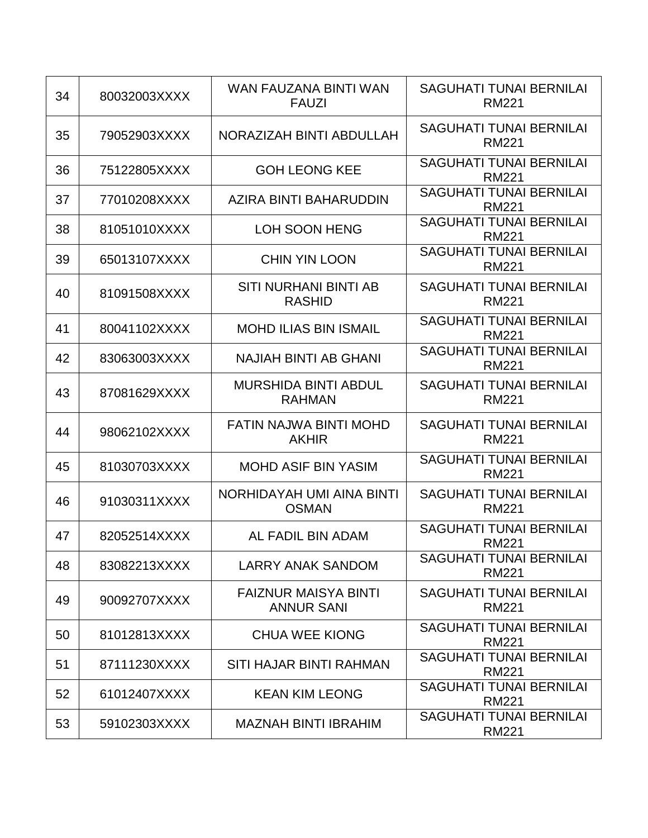| 34 | 80032003XXXX | WAN FAUZANA BINTI WAN<br><b>FAUZI</b>            | <b>SAGUHATI TUNAI BERNILAI</b><br><b>RM221</b> |
|----|--------------|--------------------------------------------------|------------------------------------------------|
| 35 | 79052903XXXX | NORAZIZAH BINTI ABDULLAH                         | <b>SAGUHATI TUNAI BERNILAI</b><br><b>RM221</b> |
| 36 | 75122805XXXX | <b>GOH LEONG KEE</b>                             | <b>SAGUHATI TUNAI BERNILAI</b><br><b>RM221</b> |
| 37 | 77010208XXXX | AZIRA BINTI BAHARUDDIN                           | <b>SAGUHATI TUNAI BERNILAI</b><br><b>RM221</b> |
| 38 | 81051010XXXX | LOH SOON HENG                                    | <b>SAGUHATI TUNAI BERNILAI</b><br><b>RM221</b> |
| 39 | 65013107XXXX | <b>CHIN YIN LOON</b>                             | <b>SAGUHATI TUNAI BERNILAI</b><br><b>RM221</b> |
| 40 | 81091508XXXX | SITI NURHANI BINTI AB<br><b>RASHID</b>           | <b>SAGUHATI TUNAI BERNILAI</b><br><b>RM221</b> |
| 41 | 80041102XXXX | <b>MOHD ILIAS BIN ISMAIL</b>                     | <b>SAGUHATI TUNAI BERNILAI</b><br><b>RM221</b> |
| 42 | 83063003XXXX | <b>NAJIAH BINTI AB GHANI</b>                     | <b>SAGUHATI TUNAI BERNILAI</b><br><b>RM221</b> |
| 43 | 87081629XXXX | <b>MURSHIDA BINTI ABDUL</b><br><b>RAHMAN</b>     | <b>SAGUHATI TUNAI BERNILAI</b><br><b>RM221</b> |
| 44 | 98062102XXXX | FATIN NAJWA BINTI MOHD<br><b>AKHIR</b>           | <b>SAGUHATI TUNAI BERNILAI</b><br><b>RM221</b> |
| 45 | 81030703XXXX | <b>MOHD ASIF BIN YASIM</b>                       | <b>SAGUHATI TUNAI BERNILAI</b><br><b>RM221</b> |
| 46 | 91030311XXXX | NORHIDAYAH UMI AINA BINTI<br><b>OSMAN</b>        | <b>SAGUHATI TUNAI BERNILAI</b><br><b>RM221</b> |
| 47 | 82052514XXXX | AL FADIL BIN ADAM                                | <b>SAGUHATI TUNAI BERNILAI</b><br><b>RM221</b> |
| 48 | 83082213XXXX | <b>LARRY ANAK SANDOM</b>                         | <b>SAGUHATI TUNAI BERNILAI</b><br><b>RM221</b> |
| 49 | 90092707XXXX | <b>FAIZNUR MAISYA BINTI</b><br><b>ANNUR SANI</b> | <b>SAGUHATI TUNAI BERNILAI</b><br><b>RM221</b> |
| 50 | 81012813XXXX | <b>CHUA WEE KIONG</b>                            | <b>SAGUHATI TUNAI BERNILAI</b><br><b>RM221</b> |
| 51 | 87111230XXXX | SITI HAJAR BINTI RAHMAN                          | <b>SAGUHATI TUNAI BERNILAI</b><br><b>RM221</b> |
| 52 | 61012407XXXX | <b>KEAN KIM LEONG</b>                            | <b>SAGUHATI TUNAI BERNILAI</b><br><b>RM221</b> |
| 53 | 59102303XXXX | <b>MAZNAH BINTI IBRAHIM</b>                      | <b>SAGUHATI TUNAI BERNILAI</b><br><b>RM221</b> |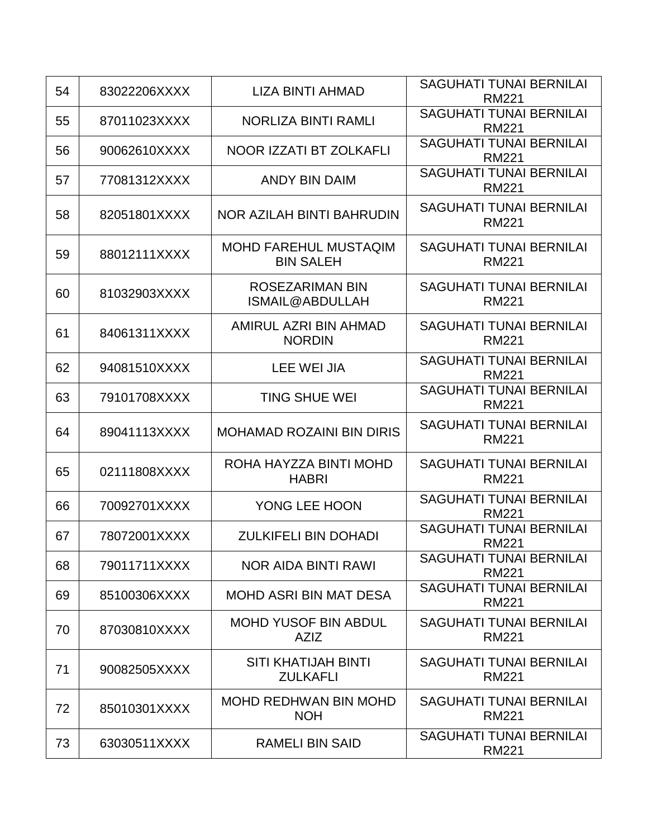| 54 | 83022206XXXX | LIZA BINTI AHMAD                                 | <b>SAGUHATI TUNAI BERNILAI</b><br><b>RM221</b> |
|----|--------------|--------------------------------------------------|------------------------------------------------|
| 55 | 87011023XXXX | NORLIZA BINTI RAMLI                              | <b>SAGUHATI TUNAI BERNILAI</b><br><b>RM221</b> |
| 56 | 90062610XXXX | NOOR IZZATI BT ZOLKAFLI                          | <b>SAGUHATI TUNAI BERNILAI</b><br><b>RM221</b> |
| 57 | 77081312XXXX | <b>ANDY BIN DAIM</b>                             | <b>SAGUHATI TUNAI BERNILAI</b><br><b>RM221</b> |
| 58 | 82051801XXXX | NOR AZILAH BINTI BAHRUDIN                        | <b>SAGUHATI TUNAI BERNILAI</b><br><b>RM221</b> |
| 59 | 88012111XXXX | <b>MOHD FAREHUL MUSTAQIM</b><br><b>BIN SALEH</b> | <b>SAGUHATI TUNAI BERNILAI</b><br><b>RM221</b> |
| 60 | 81032903XXXX | <b>ROSEZARIMAN BIN</b><br>ISMAIL@ABDULLAH        | <b>SAGUHATI TUNAI BERNILAI</b><br><b>RM221</b> |
| 61 | 84061311XXXX | AMIRUL AZRI BIN AHMAD<br><b>NORDIN</b>           | <b>SAGUHATI TUNAI BERNILAI</b><br><b>RM221</b> |
| 62 | 94081510XXXX | LEE WEI JIA                                      | <b>SAGUHATI TUNAI BERNILAI</b><br><b>RM221</b> |
| 63 | 79101708XXXX | <b>TING SHUE WEI</b>                             | <b>SAGUHATI TUNAI BERNILAI</b><br><b>RM221</b> |
| 64 | 89041113XXXX | <b>MOHAMAD ROZAINI BIN DIRIS</b>                 | <b>SAGUHATI TUNAI BERNILAI</b><br><b>RM221</b> |
| 65 | 02111808XXXX | ROHA HAYZZA BINTI MOHD<br><b>HABRI</b>           | <b>SAGUHATI TUNAI BERNILAI</b><br><b>RM221</b> |
| 66 | 70092701XXXX | YONG LEE HOON                                    | <b>SAGUHATI TUNAI BERNILAI</b><br><b>RM221</b> |
| 67 | 78072001XXXX | <b>ZULKIFELI BIN DOHADI</b>                      | <b>SAGUHATI TUNAI BERNILAI</b><br><b>RM221</b> |
| 68 | 79011711XXXX | <b>NOR AIDA BINTI RAWI</b>                       | <b>SAGUHATI TUNAI BERNILAI</b><br><b>RM221</b> |
| 69 | 85100306XXXX | <b>MOHD ASRI BIN MAT DESA</b>                    | <b>SAGUHATI TUNAI BERNILAI</b><br><b>RM221</b> |
| 70 | 87030810XXXX | <b>MOHD YUSOF BIN ABDUL</b><br><b>AZIZ</b>       | <b>SAGUHATI TUNAI BERNILAI</b><br><b>RM221</b> |
| 71 | 90082505XXXX | <b>SITI KHATIJAH BINTI</b><br><b>ZULKAFLI</b>    | <b>SAGUHATI TUNAI BERNILAI</b><br><b>RM221</b> |
| 72 | 85010301XXXX | <b>MOHD REDHWAN BIN MOHD</b><br><b>NOH</b>       | <b>SAGUHATI TUNAI BERNILAI</b><br><b>RM221</b> |
| 73 | 63030511XXXX | <b>RAMELI BIN SAID</b>                           | <b>SAGUHATI TUNAI BERNILAI</b><br><b>RM221</b> |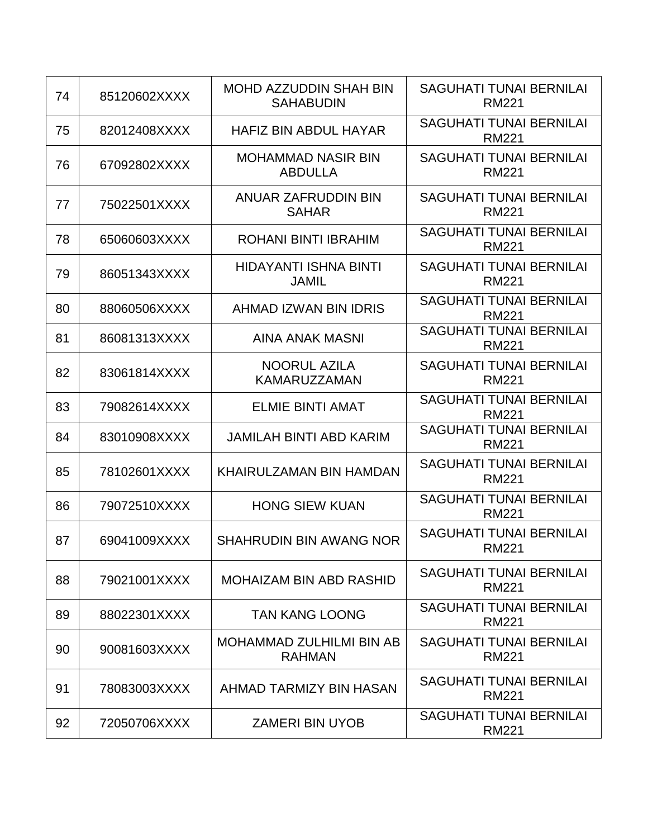| 74 | 85120602XXXX | <b>MOHD AZZUDDIN SHAH BIN</b><br><b>SAHABUDIN</b> | <b>SAGUHATI TUNAI BERNILAI</b><br><b>RM221</b> |
|----|--------------|---------------------------------------------------|------------------------------------------------|
| 75 | 82012408XXXX | <b>HAFIZ BIN ABDUL HAYAR</b>                      | <b>SAGUHATI TUNAI BERNILAI</b><br><b>RM221</b> |
| 76 | 67092802XXXX | <b>MOHAMMAD NASIR BIN</b><br><b>ABDULLA</b>       | <b>SAGUHATI TUNAI BERNILAI</b><br><b>RM221</b> |
| 77 | 75022501XXXX | ANUAR ZAFRUDDIN BIN<br><b>SAHAR</b>               | <b>SAGUHATI TUNAI BERNILAI</b><br><b>RM221</b> |
| 78 | 65060603XXXX | ROHANI BINTI IBRAHIM                              | <b>SAGUHATI TUNAI BERNILAI</b><br><b>RM221</b> |
| 79 | 86051343XXXX | HIDAYANTI ISHNA BINTI<br><b>JAMIL</b>             | <b>SAGUHATI TUNAI BERNILAI</b><br><b>RM221</b> |
| 80 | 88060506XXXX | AHMAD IZWAN BIN IDRIS                             | <b>SAGUHATI TUNAI BERNILAI</b><br><b>RM221</b> |
| 81 | 86081313XXXX | <b>AINA ANAK MASNI</b>                            | <b>SAGUHATI TUNAI BERNILAI</b><br><b>RM221</b> |
| 82 | 83061814XXXX | <b>NOORUL AZILA</b><br><b>KAMARUZZAMAN</b>        | <b>SAGUHATI TUNAI BERNILAI</b><br><b>RM221</b> |
| 83 | 79082614XXXX | <b>ELMIE BINTI AMAT</b>                           | <b>SAGUHATI TUNAI BERNILAI</b><br><b>RM221</b> |
| 84 | 83010908XXXX | <b>JAMILAH BINTI ABD KARIM</b>                    | <b>SAGUHATI TUNAI BERNILAI</b><br><b>RM221</b> |
| 85 | 78102601XXXX | KHAIRULZAMAN BIN HAMDAN                           | <b>SAGUHATI TUNAI BERNILAI</b><br><b>RM221</b> |
| 86 | 79072510XXXX | <b>HONG SIEW KUAN</b>                             | <b>SAGUHATI TUNAI BERNILAI</b><br><b>RM221</b> |
| 87 | 69041009XXXX | <b>SHAHRUDIN BIN AWANG NOR</b>                    | <b>SAGUHATI TUNAI BERNILAI</b><br><b>RM221</b> |
| 88 | 79021001XXXX | <b>MOHAIZAM BIN ABD RASHID</b>                    | <b>SAGUHATI TUNAI BERNILAI</b><br><b>RM221</b> |
| 89 | 88022301XXXX | <b>TAN KANG LOONG</b>                             | <b>SAGUHATI TUNAI BERNILAI</b><br><b>RM221</b> |
| 90 | 90081603XXXX | <b>MOHAMMAD ZULHILMI BIN AB</b><br><b>RAHMAN</b>  | <b>SAGUHATI TUNAI BERNILAI</b><br><b>RM221</b> |
| 91 | 78083003XXXX | AHMAD TARMIZY BIN HASAN                           | <b>SAGUHATI TUNAI BERNILAI</b><br><b>RM221</b> |
| 92 | 72050706XXXX | <b>ZAMERI BIN UYOB</b>                            | <b>SAGUHATI TUNAI BERNILAI</b><br><b>RM221</b> |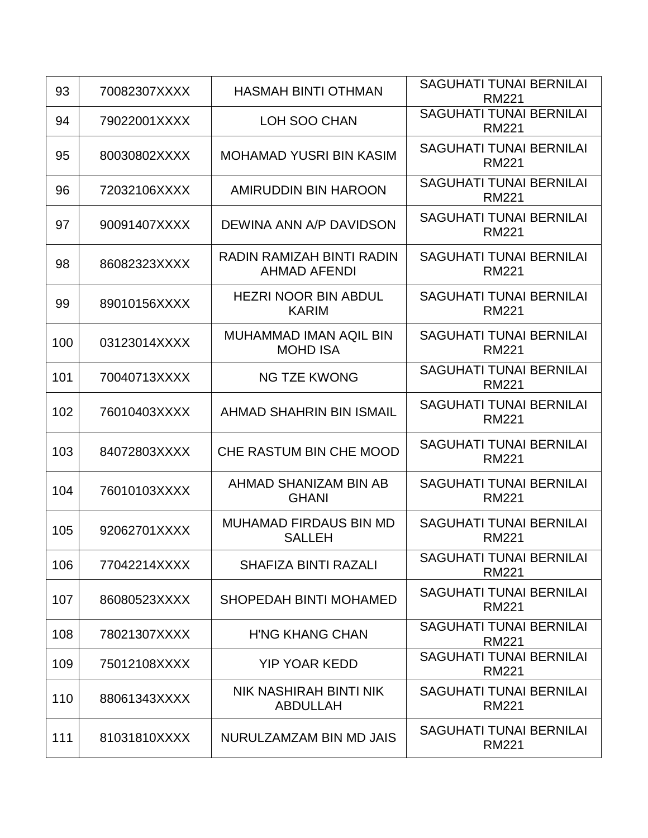| 93  | 70082307XXXX | <b>HASMAH BINTI OTHMAN</b>                       | <b>SAGUHATI TUNAI BERNILAI</b><br><b>RM221</b> |
|-----|--------------|--------------------------------------------------|------------------------------------------------|
| 94  | 79022001XXXX | LOH SOO CHAN                                     | <b>SAGUHATI TUNAI BERNILAI</b><br><b>RM221</b> |
| 95  | 80030802XXXX | <b>MOHAMAD YUSRI BIN KASIM</b>                   | <b>SAGUHATI TUNAI BERNILAI</b><br><b>RM221</b> |
| 96  | 72032106XXXX | AMIRUDDIN BIN HAROON                             | <b>SAGUHATI TUNAI BERNILAI</b><br><b>RM221</b> |
| 97  | 90091407XXXX | DEWINA ANN A/P DAVIDSON                          | <b>SAGUHATI TUNAI BERNILAI</b><br><b>RM221</b> |
| 98  | 86082323XXXX | RADIN RAMIZAH BINTI RADIN<br><b>AHMAD AFENDI</b> | <b>SAGUHATI TUNAI BERNILAI</b><br><b>RM221</b> |
| 99  | 89010156XXXX | <b>HEZRI NOOR BIN ABDUL</b><br><b>KARIM</b>      | <b>SAGUHATI TUNAI BERNILAI</b><br><b>RM221</b> |
| 100 | 03123014XXXX | <b>MUHAMMAD IMAN AQIL BIN</b><br><b>MOHD ISA</b> | <b>SAGUHATI TUNAI BERNILAI</b><br><b>RM221</b> |
| 101 | 70040713XXXX | <b>NG TZE KWONG</b>                              | <b>SAGUHATI TUNAI BERNILAI</b><br><b>RM221</b> |
| 102 | 76010403XXXX | AHMAD SHAHRIN BIN ISMAIL                         | <b>SAGUHATI TUNAI BERNILAI</b><br><b>RM221</b> |
| 103 | 84072803XXXX | CHE RASTUM BIN CHE MOOD                          | <b>SAGUHATI TUNAI BERNILAI</b><br><b>RM221</b> |
| 104 | 76010103XXXX | AHMAD SHANIZAM BIN AB<br><b>GHANI</b>            | <b>SAGUHATI TUNAI BERNILAI</b><br><b>RM221</b> |
| 105 | 92062701XXXX | <b>MUHAMAD FIRDAUS BIN MD</b><br><b>SALLEH</b>   | <b>SAGUHATI TUNAI BERNILAI</b><br><b>RM221</b> |
| 106 | 77042214XXXX | <b>SHAFIZA BINTI RAZALI</b>                      | <b>SAGUHATI TUNAI BERNILAI</b><br><b>RM221</b> |
| 107 | 86080523XXXX | <b>SHOPEDAH BINTI MOHAMED</b>                    | <b>SAGUHATI TUNAI BERNILAI</b><br><b>RM221</b> |
| 108 | 78021307XXXX | <b>H'NG KHANG CHAN</b>                           | <b>SAGUHATI TUNAI BERNILAI</b><br><b>RM221</b> |
| 109 | 75012108XXXX | <b>YIP YOAR KEDD</b>                             | <b>SAGUHATI TUNAI BERNILAI</b><br><b>RM221</b> |
| 110 | 88061343XXXX | NIK NASHIRAH BINTI NIK<br><b>ABDULLAH</b>        | <b>SAGUHATI TUNAI BERNILAI</b><br><b>RM221</b> |
| 111 | 81031810XXXX | NURULZAMZAM BIN MD JAIS                          | <b>SAGUHATI TUNAI BERNILAI</b><br><b>RM221</b> |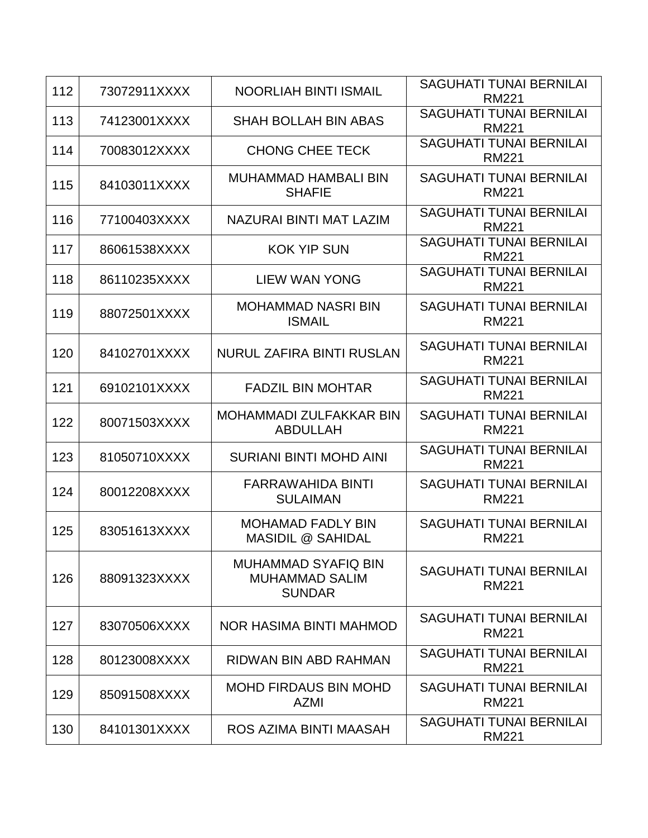| 112 | 73072911XXXX | <b>NOORLIAH BINTI ISMAIL</b>                                         | <b>SAGUHATI TUNAI BERNILAI</b><br><b>RM221</b> |
|-----|--------------|----------------------------------------------------------------------|------------------------------------------------|
| 113 | 74123001XXXX | <b>SHAH BOLLAH BIN ABAS</b>                                          | <b>SAGUHATI TUNAI BERNILAI</b><br><b>RM221</b> |
| 114 | 70083012XXXX | <b>CHONG CHEE TECK</b>                                               | <b>SAGUHATI TUNAI BERNILAI</b><br><b>RM221</b> |
| 115 | 84103011XXXX | <b>MUHAMMAD HAMBALI BIN</b><br><b>SHAFIE</b>                         | <b>SAGUHATI TUNAI BERNILAI</b><br><b>RM221</b> |
| 116 | 77100403XXXX | NAZURAI BINTI MAT LAZIM                                              | <b>SAGUHATI TUNAI BERNILAI</b><br><b>RM221</b> |
| 117 | 86061538XXXX | <b>KOK YIP SUN</b>                                                   | <b>SAGUHATI TUNAI BERNILAI</b><br><b>RM221</b> |
| 118 | 86110235XXXX | LIEW WAN YONG                                                        | <b>SAGUHATI TUNAI BERNILAI</b><br><b>RM221</b> |
| 119 | 88072501XXXX | <b>MOHAMMAD NASRI BIN</b><br><b>ISMAIL</b>                           | <b>SAGUHATI TUNAI BERNILAI</b><br><b>RM221</b> |
| 120 | 84102701XXXX | <b>NURUL ZAFIRA BINTI RUSLAN</b>                                     | <b>SAGUHATI TUNAI BERNILAI</b><br><b>RM221</b> |
| 121 | 69102101XXXX | <b>FADZIL BIN MOHTAR</b>                                             | <b>SAGUHATI TUNAI BERNILAI</b><br><b>RM221</b> |
| 122 | 80071503XXXX | MOHAMMADI ZULFAKKAR BIN<br><b>ABDULLAH</b>                           | <b>SAGUHATI TUNAI BERNILAI</b><br><b>RM221</b> |
| 123 | 81050710XXXX | <b>SURIANI BINTI MOHD AINI</b>                                       | <b>SAGUHATI TUNAI BERNILAI</b><br><b>RM221</b> |
| 124 | 80012208XXXX | <b>FARRAWAHIDA BINTI</b><br><b>SULAIMAN</b>                          | <b>SAGUHATI TUNAI BERNILAI</b><br><b>RM221</b> |
| 125 | 83051613XXXX | <b>MOHAMAD FADLY BIN</b><br><b>MASIDIL @ SAHIDAL</b>                 | <b>SAGUHATI TUNAI BERNILAI</b><br><b>RM221</b> |
| 126 | 88091323XXXX | <b>MUHAMMAD SYAFIQ BIN</b><br><b>MUHAMMAD SALIM</b><br><b>SUNDAR</b> | <b>SAGUHATI TUNAI BERNILAI</b><br><b>RM221</b> |
| 127 | 83070506XXXX | <b>NOR HASIMA BINTI MAHMOD</b>                                       | SAGUHATI TUNAI BERNILAI<br><b>RM221</b>        |
| 128 | 80123008XXXX | RIDWAN BIN ABD RAHMAN                                                | <b>SAGUHATI TUNAI BERNILAI</b><br><b>RM221</b> |
| 129 | 85091508XXXX | <b>MOHD FIRDAUS BIN MOHD</b><br><b>AZMI</b>                          | <b>SAGUHATI TUNAI BERNILAI</b><br><b>RM221</b> |
| 130 | 84101301XXXX | ROS AZIMA BINTI MAASAH                                               | <b>SAGUHATI TUNAI BERNILAI</b><br><b>RM221</b> |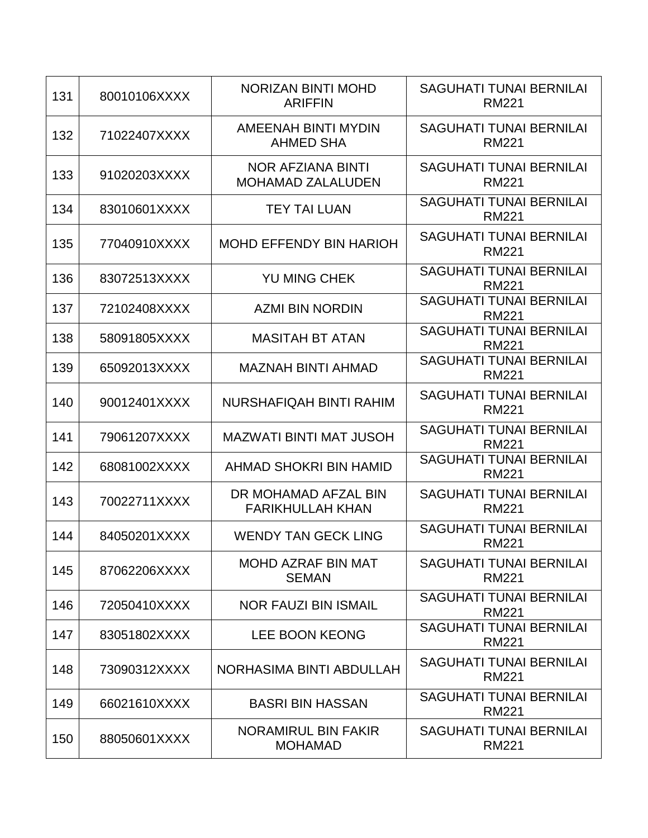| 131 | 80010106XXXX | <b>NORIZAN BINTI MOHD</b><br><b>ARIFFIN</b>     | <b>SAGUHATI TUNAI BERNILAI</b><br><b>RM221</b> |
|-----|--------------|-------------------------------------------------|------------------------------------------------|
| 132 | 71022407XXXX | <b>AMEENAH BINTI MYDIN</b><br><b>AHMED SHA</b>  | <b>SAGUHATI TUNAI BERNILAI</b><br><b>RM221</b> |
| 133 | 91020203XXXX | NOR AFZIANA BINTI<br><b>MOHAMAD ZALALUDEN</b>   | <b>SAGUHATI TUNAI BERNILAI</b><br><b>RM221</b> |
| 134 | 83010601XXXX | <b>TEY TAI LUAN</b>                             | <b>SAGUHATI TUNAI BERNILAI</b><br><b>RM221</b> |
| 135 | 77040910XXXX | <b>MOHD EFFENDY BIN HARIOH</b>                  | <b>SAGUHATI TUNAI BERNILAI</b><br><b>RM221</b> |
| 136 | 83072513XXXX | <b>YU MING CHEK</b>                             | <b>SAGUHATI TUNAI BERNILAI</b><br><b>RM221</b> |
| 137 | 72102408XXXX | <b>AZMI BIN NORDIN</b>                          | <b>SAGUHATI TUNAI BERNILAI</b><br><b>RM221</b> |
| 138 | 58091805XXXX | <b>MASITAH BT ATAN</b>                          | <b>SAGUHATI TUNAI BERNILAI</b><br><b>RM221</b> |
| 139 | 65092013XXXX | <b>MAZNAH BINTI AHMAD</b>                       | <b>SAGUHATI TUNAI BERNILAI</b><br><b>RM221</b> |
| 140 | 90012401XXXX | NURSHAFIQAH BINTI RAHIM                         | <b>SAGUHATI TUNAI BERNILAI</b><br><b>RM221</b> |
| 141 | 79061207XXXX | <b>MAZWATI BINTI MAT JUSOH</b>                  | <b>SAGUHATI TUNAI BERNILAI</b><br><b>RM221</b> |
| 142 | 68081002XXXX | AHMAD SHOKRI BIN HAMID                          | <b>SAGUHATI TUNAI BERNILAI</b><br><b>RM221</b> |
| 143 | 70022711XXXX | DR MOHAMAD AFZAL BIN<br><b>FARIKHULLAH KHAN</b> | <b>SAGUHATI TUNAI BERNILAI</b><br><b>RM221</b> |
| 144 | 84050201XXXX | <b>WENDY TAN GECK LING</b>                      | <b>SAGUHATI TUNAI BERNILAI</b><br><b>RM221</b> |
| 145 | 87062206XXXX | <b>MOHD AZRAF BIN MAT</b><br><b>SEMAN</b>       | <b>SAGUHATI TUNAI BERNILAI</b><br><b>RM221</b> |
| 146 | 72050410XXXX | <b>NOR FAUZI BIN ISMAIL</b>                     | <b>SAGUHATI TUNAI BERNILAI</b><br><b>RM221</b> |
| 147 | 83051802XXXX | <b>LEE BOON KEONG</b>                           | <b>SAGUHATI TUNAI BERNILAI</b><br><b>RM221</b> |
| 148 | 73090312XXXX | NORHASIMA BINTI ABDULLAH                        | <b>SAGUHATI TUNAI BERNILAI</b><br><b>RM221</b> |
| 149 | 66021610XXXX | <b>BASRI BIN HASSAN</b>                         | <b>SAGUHATI TUNAI BERNILAI</b><br><b>RM221</b> |
| 150 | 88050601XXXX | NORAMIRUL BIN FAKIR<br><b>MOHAMAD</b>           | <b>SAGUHATI TUNAI BERNILAI</b><br><b>RM221</b> |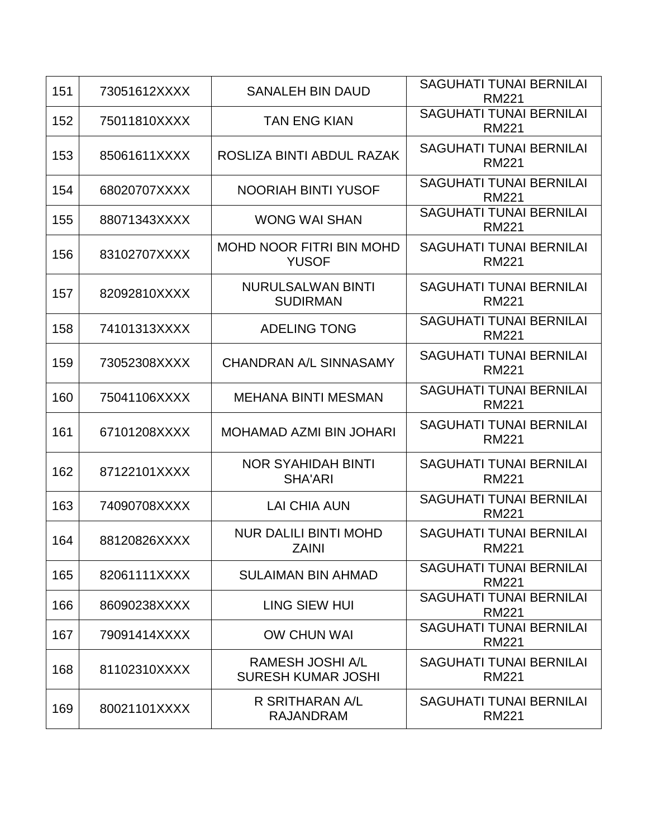| 151 | 73051612XXXX | <b>SANALEH BIN DAUD</b>                              | <b>SAGUHATI TUNAI BERNILAI</b><br><b>RM221</b> |
|-----|--------------|------------------------------------------------------|------------------------------------------------|
| 152 | 75011810XXXX | <b>TAN ENG KIAN</b>                                  | <b>SAGUHATI TUNAI BERNILAI</b><br><b>RM221</b> |
| 153 | 85061611XXXX | ROSLIZA BINTI ABDUL RAZAK                            | <b>SAGUHATI TUNAI BERNILAI</b><br><b>RM221</b> |
| 154 | 68020707XXXX | <b>NOORIAH BINTI YUSOF</b>                           | <b>SAGUHATI TUNAI BERNILAI</b><br><b>RM221</b> |
| 155 | 88071343XXXX | <b>WONG WAI SHAN</b>                                 | <b>SAGUHATI TUNAI BERNILAI</b><br><b>RM221</b> |
| 156 | 83102707XXXX | <b>MOHD NOOR FITRI BIN MOHD</b><br><b>YUSOF</b>      | <b>SAGUHATI TUNAI BERNILAI</b><br><b>RM221</b> |
| 157 | 82092810XXXX | <b>NURULSALWAN BINTI</b><br><b>SUDIRMAN</b>          | <b>SAGUHATI TUNAI BERNILAI</b><br><b>RM221</b> |
| 158 | 74101313XXXX | <b>ADELING TONG</b>                                  | <b>SAGUHATI TUNAI BERNILAI</b><br><b>RM221</b> |
| 159 | 73052308XXXX | <b>CHANDRAN A/L SINNASAMY</b>                        | <b>SAGUHATI TUNAI BERNILAI</b><br><b>RM221</b> |
| 160 | 75041106XXXX | <b>MEHANA BINTI MESMAN</b>                           | <b>SAGUHATI TUNAI BERNILAI</b><br><b>RM221</b> |
| 161 | 67101208XXXX | <b>MOHAMAD AZMI BIN JOHARI</b>                       | <b>SAGUHATI TUNAI BERNILAI</b><br><b>RM221</b> |
| 162 | 87122101XXXX | <b>NOR SYAHIDAH BINTI</b><br><b>SHA'ARI</b>          | <b>SAGUHATI TUNAI BERNILAI</b><br><b>RM221</b> |
| 163 | 74090708XXXX | <b>LAI CHIA AUN</b>                                  | <b>SAGUHATI TUNAI BERNILAI</b><br><b>RM221</b> |
| 164 | 88120826XXXX | <b>NUR DALILI BINTI MOHD</b><br>ZAINI                | <b>SAGUHATI TUNAI BERNILAI</b><br>RM221        |
| 165 | 82061111XXXX | <b>SULAIMAN BIN AHMAD</b>                            | <b>SAGUHATI TUNAI BERNILAI</b><br><b>RM221</b> |
| 166 | 86090238XXXX | LING SIEW HUI                                        | <b>SAGUHATI TUNAI BERNILAI</b><br><b>RM221</b> |
| 167 | 79091414XXXX | <b>OW CHUN WAI</b>                                   | <b>SAGUHATI TUNAI BERNILAI</b><br><b>RM221</b> |
| 168 | 81102310XXXX | <b>RAMESH JOSHI A/L</b><br><b>SURESH KUMAR JOSHI</b> | <b>SAGUHATI TUNAI BERNILAI</b><br><b>RM221</b> |
| 169 | 80021101XXXX | R SRITHARAN A/L<br><b>RAJANDRAM</b>                  | <b>SAGUHATI TUNAI BERNILAI</b><br><b>RM221</b> |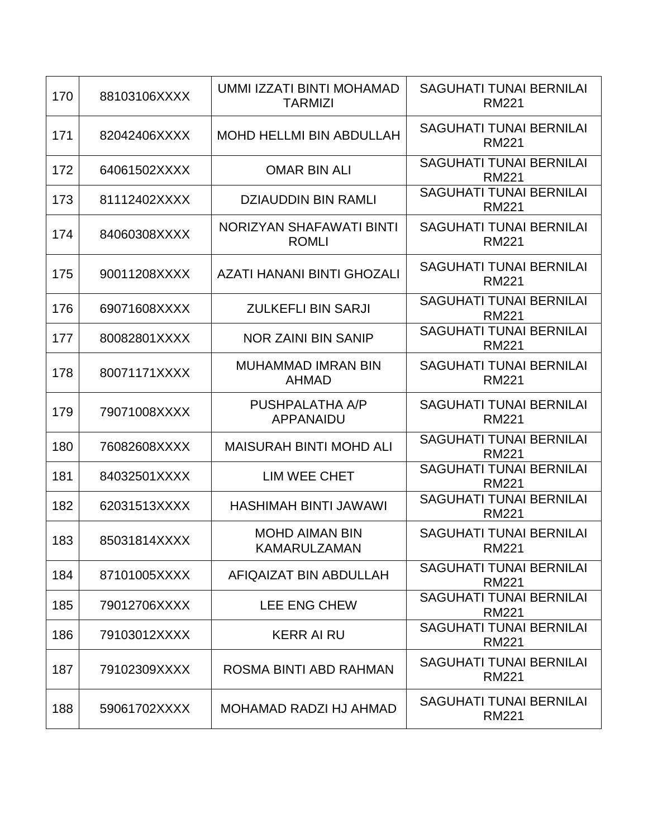| 170 | 88103106XXXX | UMMI IZZATI BINTI MOHAMAD<br><b>TARMIZI</b> | <b>SAGUHATI TUNAI BERNILAI</b><br><b>RM221</b> |
|-----|--------------|---------------------------------------------|------------------------------------------------|
| 171 | 82042406XXXX | <b>MOHD HELLMI BIN ABDULLAH</b>             | <b>SAGUHATI TUNAI BERNILAI</b><br><b>RM221</b> |
| 172 | 64061502XXXX | <b>OMAR BIN ALI</b>                         | <b>SAGUHATI TUNAI BERNILAI</b><br><b>RM221</b> |
| 173 | 81112402XXXX | <b>DZIAUDDIN BIN RAMLI</b>                  | <b>SAGUHATI TUNAI BERNILAI</b><br><b>RM221</b> |
| 174 | 84060308XXXX | NORIZYAN SHAFAWATI BINTI<br><b>ROMLI</b>    | <b>SAGUHATI TUNAI BERNILAI</b><br><b>RM221</b> |
| 175 | 90011208XXXX | <b>AZATI HANANI BINTI GHOZALI</b>           | <b>SAGUHATI TUNAI BERNILAI</b><br><b>RM221</b> |
| 176 | 69071608XXXX | <b>ZULKEFLI BIN SARJI</b>                   | <b>SAGUHATI TUNAI BERNILAI</b><br><b>RM221</b> |
| 177 | 80082801XXXX | <b>NOR ZAINI BIN SANIP</b>                  | <b>SAGUHATI TUNAI BERNILAI</b><br><b>RM221</b> |
| 178 | 80071171XXXX | <b>MUHAMMAD IMRAN BIN</b><br><b>AHMAD</b>   | <b>SAGUHATI TUNAI BERNILAI</b><br><b>RM221</b> |
| 179 | 79071008XXXX | PUSHPALATHA A/P<br><b>APPANAIDU</b>         | <b>SAGUHATI TUNAI BERNILAI</b><br><b>RM221</b> |
| 180 | 76082608XXXX | <b>MAISURAH BINTI MOHD ALI</b>              | <b>SAGUHATI TUNAI BERNILAI</b><br><b>RM221</b> |
| 181 | 84032501XXXX | LIM WEE CHET                                | <b>SAGUHATI TUNAI BERNILAI</b><br><b>RM221</b> |
| 182 | 62031513XXXX | <b>HASHIMAH BINTI JAWAWI</b>                | <b>SAGUHATI TUNAI BERNILAI</b><br><b>RM221</b> |
| 183 | 85031814XXXX | <b>MOHD AIMAN BIN</b><br>KAMARULZAMAN       | <b>SAGUHATI TUNAI BERNILAI</b><br><b>RM221</b> |
| 184 | 87101005XXXX | AFIQAIZAT BIN ABDULLAH                      | <b>SAGUHATI TUNAI BERNILAI</b><br><b>RM221</b> |
| 185 | 79012706XXXX | <b>LEE ENG CHEW</b>                         | <b>SAGUHATI TUNAI BERNILAI</b><br><b>RM221</b> |
| 186 | 79103012XXXX | <b>KERR AI RU</b>                           | <b>SAGUHATI TUNAI BERNILAI</b><br><b>RM221</b> |
| 187 | 79102309XXXX | ROSMA BINTI ABD RAHMAN                      | <b>SAGUHATI TUNAI BERNILAI</b><br><b>RM221</b> |
| 188 | 59061702XXXX | MOHAMAD RADZI HJ AHMAD                      | <b>SAGUHATI TUNAI BERNILAI</b><br><b>RM221</b> |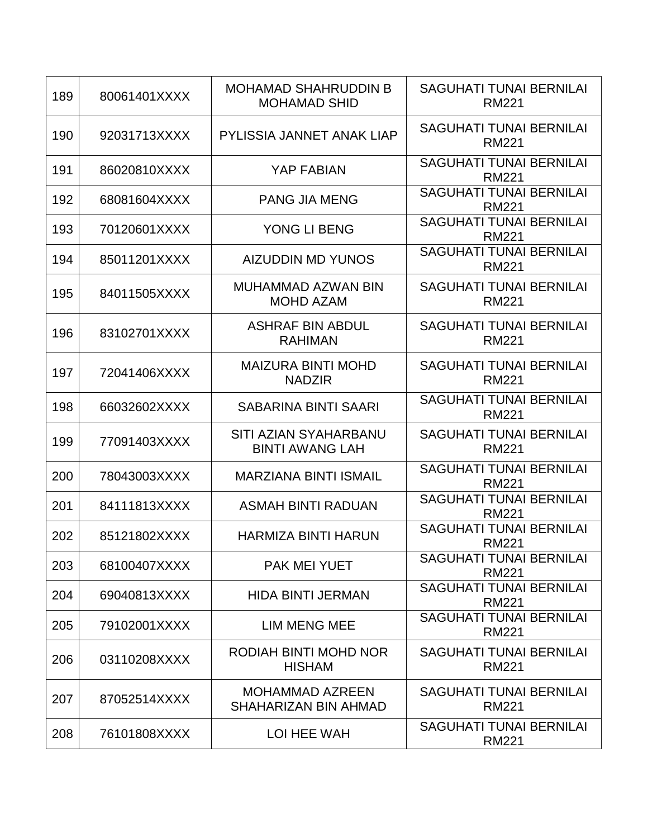| 189 | 80061401XXXX | <b>MOHAMAD SHAHRUDDIN B</b><br><b>MOHAMAD SHID</b>     | <b>SAGUHATI TUNAI BERNILAI</b><br><b>RM221</b> |
|-----|--------------|--------------------------------------------------------|------------------------------------------------|
| 190 | 92031713XXXX | <b>PYLISSIA JANNET ANAK LIAP</b>                       | <b>SAGUHATI TUNAI BERNILAI</b><br><b>RM221</b> |
| 191 | 86020810XXXX | <b>YAP FABIAN</b>                                      | <b>SAGUHATI TUNAI BERNILAI</b><br><b>RM221</b> |
| 192 | 68081604XXXX | <b>PANG JIA MENG</b>                                   | <b>SAGUHATI TUNAI BERNILAI</b><br><b>RM221</b> |
| 193 | 70120601XXXX | YONG LI BENG                                           | <b>SAGUHATI TUNAI BERNILAI</b><br><b>RM221</b> |
| 194 | 85011201XXXX | <b>AIZUDDIN MD YUNOS</b>                               | <b>SAGUHATI TUNAI BERNILAI</b><br><b>RM221</b> |
| 195 | 84011505XXXX | <b>MUHAMMAD AZWAN BIN</b><br><b>MOHD AZAM</b>          | <b>SAGUHATI TUNAI BERNILAI</b><br><b>RM221</b> |
| 196 | 83102701XXXX | <b>ASHRAF BIN ABDUL</b><br><b>RAHIMAN</b>              | <b>SAGUHATI TUNAI BERNILAI</b><br><b>RM221</b> |
| 197 | 72041406XXXX | <b>MAIZURA BINTI MOHD</b><br><b>NADZIR</b>             | <b>SAGUHATI TUNAI BERNILAI</b><br><b>RM221</b> |
| 198 | 66032602XXXX | <b>SABARINA BINTI SAARI</b>                            | <b>SAGUHATI TUNAI BERNILAI</b><br><b>RM221</b> |
| 199 | 77091403XXXX | <b>SITI AZIAN SYAHARBANU</b><br><b>BINTI AWANG LAH</b> | <b>SAGUHATI TUNAI BERNILAI</b><br><b>RM221</b> |
| 200 | 78043003XXXX | <b>MARZIANA BINTI ISMAIL</b>                           | <b>SAGUHATI TUNAI BERNILAI</b><br><b>RM221</b> |
| 201 | 84111813XXXX | ASMAH BINTI RADUAN                                     | <b>SAGUHATI TUNAI BERNILAI</b><br><b>RM221</b> |
| 202 | 85121802XXXX | <b>HARMIZA BINTI HARUN</b>                             | <b>SAGUHATI TUNAI BERNILAI</b><br><b>RM221</b> |
| 203 | 68100407XXXX | <b>PAK MEI YUET</b>                                    | <b>SAGUHATI TUNAI BERNILAI</b><br><b>RM221</b> |
| 204 | 69040813XXXX | <b>HIDA BINTI JERMAN</b>                               | <b>SAGUHATI TUNAI BERNILAI</b><br><b>RM221</b> |
| 205 | 79102001XXXX | <b>LIM MENG MEE</b>                                    | <b>SAGUHATI TUNAI BERNILAI</b><br><b>RM221</b> |
| 206 | 03110208XXXX | RODIAH BINTI MOHD NOR<br><b>HISHAM</b>                 | <b>SAGUHATI TUNAI BERNILAI</b><br><b>RM221</b> |
| 207 | 87052514XXXX | <b>MOHAMMAD AZREEN</b><br>SHAHARIZAN BIN AHMAD         | <b>SAGUHATI TUNAI BERNILAI</b><br><b>RM221</b> |
| 208 | 76101808XXXX | LOI HEE WAH                                            | <b>SAGUHATI TUNAI BERNILAI</b><br><b>RM221</b> |